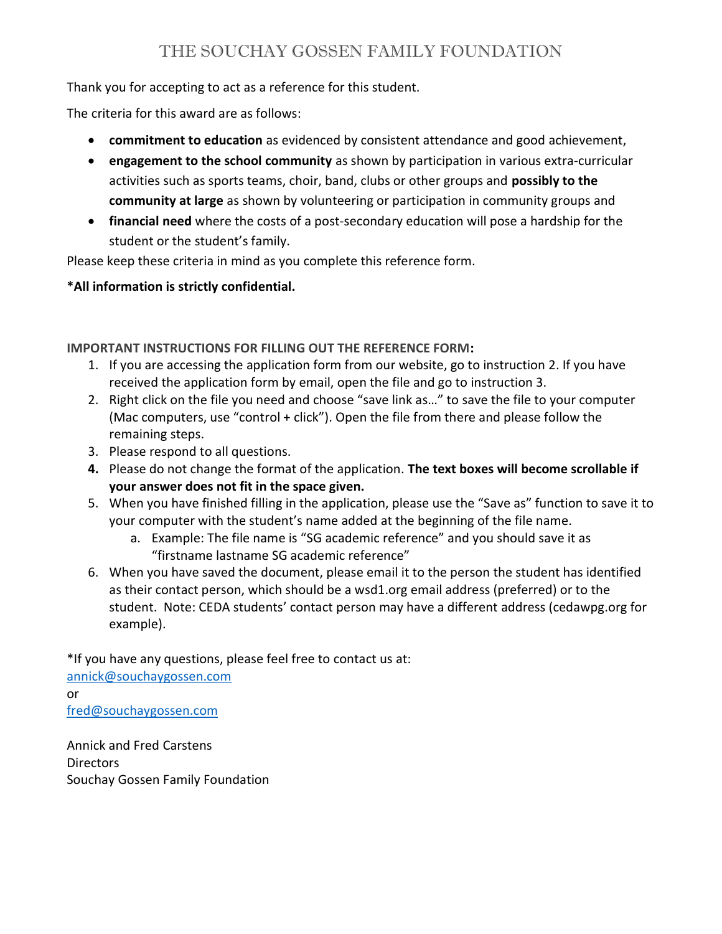# THE SOUCHAY GOSSEN FAMILY FOUNDATION

#### Thank you for accepting to act as a reference for this student.

The criteria for this award are as follows:

- commitment to education as evidenced by consistent attendance and good achievement,
- engagement to the school community as shown by participation in various extra-curricular activities such as sports teams, choir, band, clubs or other groups and possibly to the community at large as shown by volunteering or participation in community groups and
- financial need where the costs of a post-secondary education will pose a hardship for the student or the student's family.

Please keep these criteria in mind as you complete this reference form.

### \*All information is strictly confidential.

IMPORTANT INSTRUCTIONS FOR FILLING OUT THE REFERENCE FORM:

- 1. If you are accessing the application form from our website, go to instruction 2. If you have received the application form by email, open the file and go to instruction 3.
- 2. Right click on the file you need and choose "save link as…" to save the file to your computer (Mac computers, use "control + click"). Open the file from there and please follow the remaining steps.
- 3. Please respond to all questions.
- 4. Please do not change the format of the application. The text boxes will become scrollable if your answer does not fit in the space given.
- 5. When you have finished filling in the application, please use the "Save as" function to save it to your computer with the student's name added at the beginning of the file name.
	- a. Example: The file name is "SG academic reference" and you should save it as "firstname lastname SG academic reference"
- 6. When you have saved the document, please email it to the person the student has identified as their contact person, which should be a wsd1.org email address (preferred) or to the student. Note: CEDA students' contact person may have a different address (cedawpg.org for example).

\*If you have any questions, please feel free to contact us at: annick@souchaygossen.com

or fred@souchaygossen.com

Annick and Fred Carstens **Directors** Souchay Gossen Family Foundation